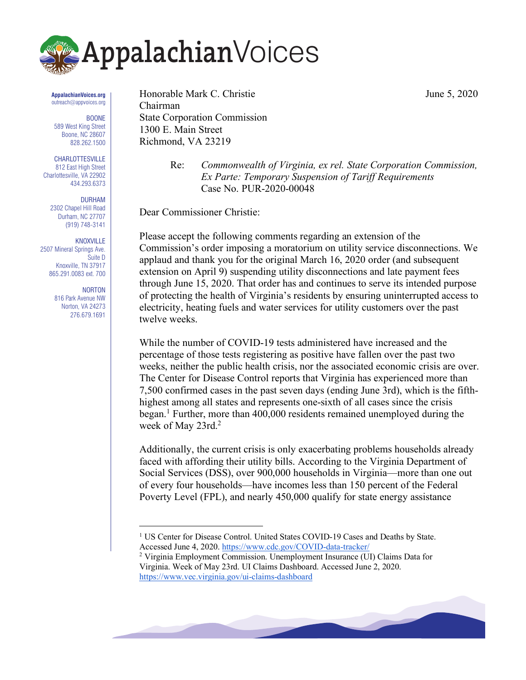

#### **AppalachianVoices.org** outreach@appvoices.org

BOONE 589 West King Street Boone, NC 28607 828.262.1500

CHARLOTTESVILLE 812 East High Street Charlottesville, VA 22902 434.293.6373

> DURHAM 2302 Chapel Hill Road Durham, NC 27707 (919) 748-3141

KNOXVILLE 2507 Mineral Springs Ave. Suite D Knoxville, TN 37917 865.291.0083 ext. 700

> NORTON 816 Park Avenue NW Norton, VA 24273 276.679.1691

Honorable Mark C. Christie June 5, 2020 Chairman State Corporation Commission 1300 E. Main Street Richmond, VA 23219

Re: *Commonwealth of Virginia, ex rel. State Corporation Commission, Ex Parte: Temporary Suspension of Tariff Requirements* Case No. PUR-2020-00048

Dear Commissioner Christie:

Please accept the following comments regarding an extension of the Commission's order imposing a moratorium on utility service disconnections. We applaud and thank you for the original March 16, 2020 order (and subsequent extension on April 9) suspending utility disconnections and late payment fees through June 15, 2020. That order has and continues to serve its intended purpose of protecting the health of Virginia's residents by ensuring uninterrupted access to electricity, heating fuels and water services for utility customers over the past twelve weeks.

While the number of COVID-19 tests administered have increased and the percentage of those tests registering as positive have fallen over the past two weeks, neither the public health crisis, nor the associated economic crisis are over. The Center for Disease Control reports that Virginia has experienced more than 7,500 confirmed cases in the past seven days (ending June 3rd), which is the fifthhighest among all states and represents one-sixth of all cases since the crisis began.<sup>1</sup> Further, more than  $400,000$  residents remained unemployed during the week of May 23rd.<sup>2</sup>

Additionally, the current crisis is only exacerbating problems households already faced with affording their utility bills. According to the Virginia Department of Social Services (DSS), over 900,000 households in Virginia—more than one out of every four households—have incomes less than 150 percent of the Federal Poverty Level (FPL), and nearly 450,000 qualify for state energy assistance

<sup>2</sup> Virginia Employment Commission. Unemployment Insurance (UI) Claims Data for Virginia. Week of May 23rd. UI Claims Dashboard. Accessed June 2, 2020. https://www.vec.virginia.gov/ui-claims-dashboard



<sup>1</sup> US Center for Disease Control. United States COVID-19 Cases and Deaths by State. Accessed June 4, 2020. https://www.cdc.gov/COVID-data-tracker/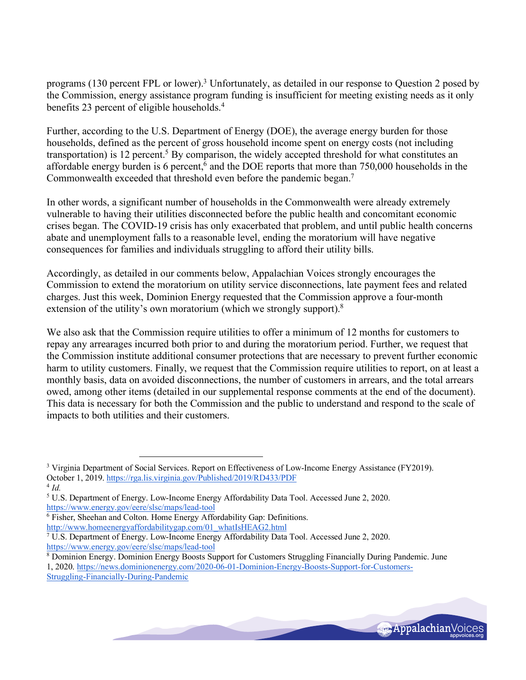programs (130 percent FPL or lower).3 Unfortunately, as detailed in our response to Question 2 posed by the Commission, energy assistance program funding is insufficient for meeting existing needs as it only benefits 23 percent of eligible households.<sup>4</sup>

Further, according to the U.S. Department of Energy (DOE), the average energy burden for those households, defined as the percent of gross household income spent on energy costs (not including transportation) is 12 percent.<sup>5</sup> By comparison, the widely accepted threshold for what constitutes an affordable energy burden is 6 percent,<sup>6</sup> and the DOE reports that more than 750,000 households in the Commonwealth exceeded that threshold even before the pandemic began.7

In other words, a significant number of households in the Commonwealth were already extremely vulnerable to having their utilities disconnected before the public health and concomitant economic crises began. The COVID-19 crisis has only exacerbated that problem, and until public health concerns abate and unemployment falls to a reasonable level, ending the moratorium will have negative consequences for families and individuals struggling to afford their utility bills.

Accordingly, as detailed in our comments below, Appalachian Voices strongly encourages the Commission to extend the moratorium on utility service disconnections, late payment fees and related charges. Just this week, Dominion Energy requested that the Commission approve a four-month extension of the utility's own moratorium (which we strongly support).<sup>8</sup>

We also ask that the Commission require utilities to offer a minimum of 12 months for customers to repay any arrearages incurred both prior to and during the moratorium period. Further, we request that the Commission institute additional consumer protections that are necessary to prevent further economic harm to utility customers. Finally, we request that the Commission require utilities to report, on at least a monthly basis, data on avoided disconnections, the number of customers in arrears, and the total arrears owed, among other items (detailed in our supplemental response comments at the end of the document). This data is necessary for both the Commission and the public to understand and respond to the scale of impacts to both utilities and their customers.

 $^{4}$  *Id.* 



<sup>&</sup>lt;sup>3</sup> Virginia Department of Social Services. Report on Effectiveness of Low-Income Energy Assistance (FY2019). October 1, 2019. https://rga.lis.virginia.gov/Published/2019/RD433/PDF

<sup>5</sup> U.S. Department of Energy. Low-Income Energy Affordability Data Tool. Accessed June 2, 2020. https://www.energy.gov/eere/slsc/maps/lead-tool

<sup>6</sup> Fisher, Sheehan and Colton. Home Energy Affordability Gap: Definitions.

http://www.homeenergyaffordabilitygap.com/01\_whatIsHEAG2.html

<sup>7</sup> U.S. Department of Energy. Low-Income Energy Affordability Data Tool. Accessed June 2, 2020. https://www.energy.gov/eere/slsc/maps/lead-tool

<sup>8</sup> Dominion Energy. Dominion Energy Boosts Support for Customers Struggling Financially During Pandemic. June

<sup>1, 2020.</sup> https://news.dominionenergy.com/2020-06-01-Dominion-Energy-Boosts-Support-for-Customers-

Struggling-Financially-During-Pandemic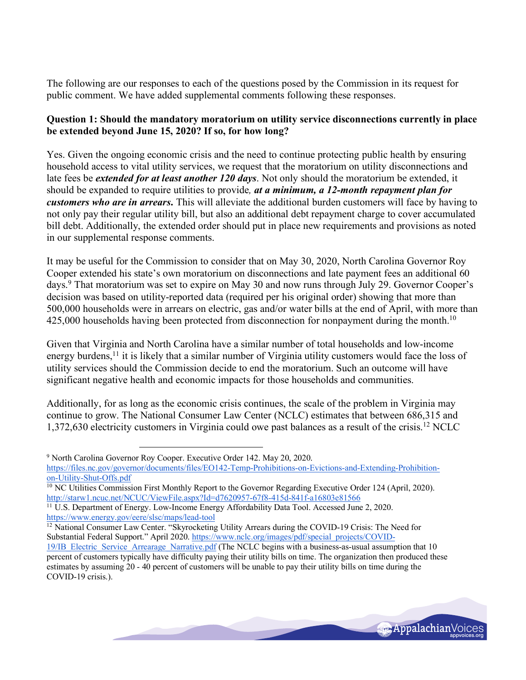The following are our responses to each of the questions posed by the Commission in its request for public comment. We have added supplemental comments following these responses.

# **Question 1: Should the mandatory moratorium on utility service disconnections currently in place be extended beyond June 15, 2020? If so, for how long?**

Yes. Given the ongoing economic crisis and the need to continue protecting public health by ensuring household access to vital utility services, we request that the moratorium on utility disconnections and late fees be *extended for at least another 120 days*. Not only should the moratorium be extended, it should be expanded to require utilities to provide*, at a minimum, a 12-month repayment plan for customers who are in arrears***.** This will alleviate the additional burden customers will face by having to not only pay their regular utility bill, but also an additional debt repayment charge to cover accumulated bill debt. Additionally, the extended order should put in place new requirements and provisions as noted in our supplemental response comments.

It may be useful for the Commission to consider that on May 30, 2020, North Carolina Governor Roy Cooper extended his state's own moratorium on disconnections and late payment fees an additional 60 days.9 That moratorium was set to expire on May 30 and now runs through July 29. Governor Cooper's decision was based on utility-reported data (required per his original order) showing that more than 500,000 households were in arrears on electric, gas and/or water bills at the end of April, with more than 425,000 households having been protected from disconnection for nonpayment during the month.<sup>10</sup>

Given that Virginia and North Carolina have a similar number of total households and low-income energy burdens,<sup>11</sup> it is likely that a similar number of Virginia utility customers would face the loss of utility services should the Commission decide to end the moratorium. Such an outcome will have significant negative health and economic impacts for those households and communities.

Additionally, for as long as the economic crisis continues, the scale of the problem in Virginia may continue to grow. The National Consumer Law Center (NCLC) estimates that between 686,315 and 1,372,630 electricity customers in Virginia could owe past balances as a result of the crisis.12 NCLC

<sup>12</sup> National Consumer Law Center. "Skyrocketing Utility Arrears during the COVID-19 Crisis: The Need for Substantial Federal Support." April 2020. https://www.nclc.org/images/pdf/special\_projects/COVID-

<sup>19/</sup>IB\_Electric\_Service\_Arrearage\_Narrative.pdf (The NCLC begins with a business-as-usual assumption that 10 percent of customers typically have difficulty paying their utility bills on time. The organization then produced these estimates by assuming 20 - 40 percent of customers will be unable to pay their utility bills on time during the COVID-19 crisis.).



<sup>9</sup> North Carolina Governor Roy Cooper. Executive Order 142. May 20, 2020. https://files.nc.gov/governor/documents/files/EO142-Temp-Prohibitions-on-Evictions-and-Extending-Prohibitionon-Utility-Shut-Offs.pdf

<sup>&</sup>lt;sup>10</sup> NC Utilities Commission First Monthly Report to the Governor Regarding Executive Order 124 (April, 2020). http://starw1.ncuc.net/NCUC/ViewFile.aspx?Id=d7620957-67f8-415d-841f-a16803e81566

<sup>&</sup>lt;sup>11</sup> U.S. Department of Energy. Low-Income Energy Affordability Data Tool. Accessed June 2, 2020. https://www.energy.gov/eere/slsc/maps/lead-tool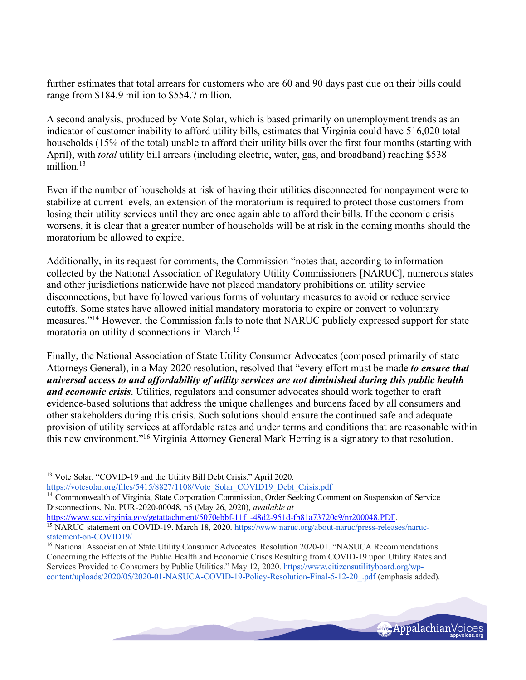further estimates that total arrears for customers who are 60 and 90 days past due on their bills could range from \$184.9 million to \$554.7 million.

A second analysis, produced by Vote Solar, which is based primarily on unemployment trends as an indicator of customer inability to afford utility bills, estimates that Virginia could have 516,020 total households (15% of the total) unable to afford their utility bills over the first four months (starting with April), with *total* utility bill arrears (including electric, water, gas, and broadband) reaching \$538 million.<sup>13</sup>

Even if the number of households at risk of having their utilities disconnected for nonpayment were to stabilize at current levels, an extension of the moratorium is required to protect those customers from losing their utility services until they are once again able to afford their bills. If the economic crisis worsens, it is clear that a greater number of households will be at risk in the coming months should the moratorium be allowed to expire.

Additionally, in its request for comments, the Commission "notes that, according to information collected by the National Association of Regulatory Utility Commissioners [NARUC], numerous states and other jurisdictions nationwide have not placed mandatory prohibitions on utility service disconnections, but have followed various forms of voluntary measures to avoid or reduce service cutoffs. Some states have allowed initial mandatory moratoria to expire or convert to voluntary measures."14 However, the Commission fails to note that NARUC publicly expressed support for state moratoria on utility disconnections in March.15

Finally, the National Association of State Utility Consumer Advocates (composed primarily of state Attorneys General), in a May 2020 resolution, resolved that "every effort must be made *to ensure that universal access to and affordability of utility services are not diminished during this public health and economic crisis*. Utilities, regulators and consumer advocates should work together to craft evidence-based solutions that address the unique challenges and burdens faced by all consumers and other stakeholders during this crisis. Such solutions should ensure the continued safe and adequate provision of utility services at affordable rates and under terms and conditions that are reasonable within this new environment."16 Virginia Attorney General Mark Herring is a signatory to that resolution.

<sup>&</sup>lt;sup>16</sup> National Association of State Utility Consumer Advocates. Resolution 2020-01. "NASUCA Recommendations Concerning the Effects of the Public Health and Economic Crises Resulting from COVID-19 upon Utility Rates and Services Provided to Consumers by Public Utilities." May 12, 2020. https://www.citizensutilityboard.org/wpcontent/uploads/2020/05/2020-01-NASUCA-COVID-19-Policy-Resolution-Final-5-12-20\_.pdf (emphasis added).



<sup>13</sup> Vote Solar. "COVID-19 and the Utility Bill Debt Crisis." April 2020. https://votesolar.org/files/5415/8827/1108/Vote\_Solar\_COVID19\_Debt\_Crisis.pdf

<sup>&</sup>lt;sup>14</sup> Commonwealth of Virginia, State Corporation Commission, Order Seeking Comment on Suspension of Service Disconnections, No. PUR-2020-00048, n5 (May 26, 2020), *available at* 

https://www.scc.virginia.gov/getattachment/5070ebbf-11f1-48d2-951d-fb81a73720c9/nr200048.PDF. <sup>15</sup> NARUC statement on COVID-19. March 18, 2020. https://www.naruc.org/about-naruc/press-releases/narucstatement-on-COVID19/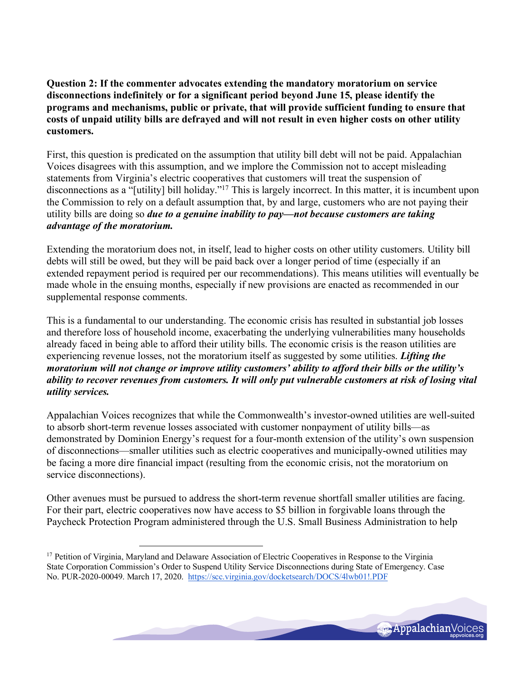**Question 2: If the commenter advocates extending the mandatory moratorium on service disconnections indefinitely or for a significant period beyond June 15, please identify the programs and mechanisms, public or private, that will provide sufficient funding to ensure that costs of unpaid utility bills are defrayed and will not result in even higher costs on other utility customers.**

First, this question is predicated on the assumption that utility bill debt will not be paid. Appalachian Voices disagrees with this assumption, and we implore the Commission not to accept misleading statements from Virginia's electric cooperatives that customers will treat the suspension of disconnections as a "[utility] bill holiday."<sup>17</sup> This is largely incorrect. In this matter, it is incumbent upon the Commission to rely on a default assumption that, by and large, customers who are not paying their utility bills are doing so *due to a genuine inability to pay—not because customers are taking advantage of the moratorium.*

Extending the moratorium does not, in itself, lead to higher costs on other utility customers. Utility bill debts will still be owed, but they will be paid back over a longer period of time (especially if an extended repayment period is required per our recommendations). This means utilities will eventually be made whole in the ensuing months, especially if new provisions are enacted as recommended in our supplemental response comments.

This is a fundamental to our understanding. The economic crisis has resulted in substantial job losses and therefore loss of household income, exacerbating the underlying vulnerabilities many households already faced in being able to afford their utility bills. The economic crisis is the reason utilities are experiencing revenue losses, not the moratorium itself as suggested by some utilities. *Lifting the moratorium will not change or improve utility customers' ability to afford their bills or the utility's ability to recover revenues from customers. It will only put vulnerable customers at risk of losing vital utility services.*

Appalachian Voices recognizes that while the Commonwealth's investor-owned utilities are well-suited to absorb short-term revenue losses associated with customer nonpayment of utility bills—as demonstrated by Dominion Energy's request for a four-month extension of the utility's own suspension of disconnections—smaller utilities such as electric cooperatives and municipally-owned utilities may be facing a more dire financial impact (resulting from the economic crisis, not the moratorium on service disconnections).

Other avenues must be pursued to address the short-term revenue shortfall smaller utilities are facing. For their part, electric cooperatives now have access to \$5 billion in forgivable loans through the Paycheck Protection Program administered through the U.S. Small Business Administration to help

 $\overline{a}$ 



<sup>&</sup>lt;sup>17</sup> Petition of Virginia, Maryland and Delaware Association of Electric Cooperatives in Response to the Virginia State Corporation Commission's Order to Suspend Utility Service Disconnections during State of Emergency. Case No. PUR-2020-00049. March 17, 2020. https://scc.virginia.gov/docketsearch/DOCS/4lwb01!.PDF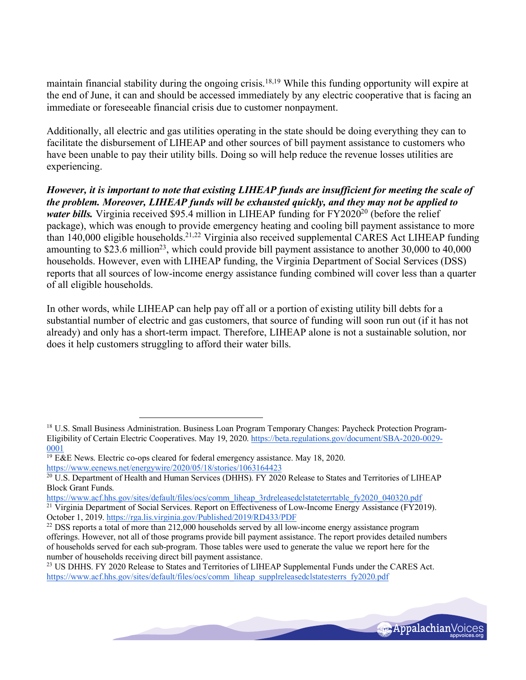maintain financial stability during the ongoing crisis.<sup>18,19</sup> While this funding opportunity will expire at the end of June, it can and should be accessed immediately by any electric cooperative that is facing an immediate or foreseeable financial crisis due to customer nonpayment.

Additionally, all electric and gas utilities operating in the state should be doing everything they can to facilitate the disbursement of LIHEAP and other sources of bill payment assistance to customers who have been unable to pay their utility bills. Doing so will help reduce the revenue losses utilities are experiencing.

*However, it is important to note that existing LIHEAP funds are insufficient for meeting the scale of the problem. Moreover, LIHEAP funds will be exhausted quickly, and they may not be applied to water bills.* Virginia received \$95.4 million in LIHEAP funding for FY2020<sup>20</sup> (before the relief package), which was enough to provide emergency heating and cooling bill payment assistance to more than 140,000 eligible households.21,22 Virginia also received supplemental CARES Act LIHEAP funding amounting to \$23.6 million<sup>23</sup>, which could provide bill payment assistance to another 30,000 to 40,000 households. However, even with LIHEAP funding, the Virginia Department of Social Services (DSS) reports that all sources of low-income energy assistance funding combined will cover less than a quarter of all eligible households.

In other words, while LIHEAP can help pay off all or a portion of existing utility bill debts for a substantial number of electric and gas customers, that source of funding will soon run out (if it has not already) and only has a short-term impact. Therefore, LIHEAP alone is not a sustainable solution, nor does it help customers struggling to afford their water bills.

 $\overline{a}$ 

https://www.acf.hhs.gov/sites/default/files/ocs/comm\_liheap\_supplreleasedclstatesterrs\_fy2020.pdf



<sup>&</sup>lt;sup>18</sup> U.S. Small Business Administration. Business Loan Program Temporary Changes: Paycheck Protection Program-Eligibility of Certain Electric Cooperatives. May 19, 2020. https://beta.regulations.gov/document/SBA-2020-0029- 0001

<sup>19</sup> E&E News. Electric co-ops cleared for federal emergency assistance. May 18, 2020. https://www.eenews.net/energywire/2020/05/18/stories/1063164423

<sup>&</sup>lt;sup>20</sup> U.S. Department of Health and Human Services (DHHS). FY 2020 Release to States and Territories of LIHEAP Block Grant Funds.

https://www.acf.hhs.gov/sites/default/files/ocs/comm\_liheap\_3rdreleasedclstateterrtable\_fy2020\_040320.pdf  $\frac{21}{21}$  Virginia Department of Social Services. Report on Effectiveness of Low-Income Energy Assistance (FY2019). October 1, 2019. https://rga.lis.virginia.gov/Published/2019/RD433/PDF

<sup>&</sup>lt;sup>22</sup> DSS reports a total of more than 212,000 households served by all low-income energy assistance program offerings. However, not all of those programs provide bill payment assistance. The report provides detailed numbers of households served for each sub-program. Those tables were used to generate the value we report here for the number of households receiving direct bill payment assistance.<br><sup>23</sup> US DHHS. FY 2020 Release to States and Territories of LIHEAP Supplemental Funds under the CARES Act.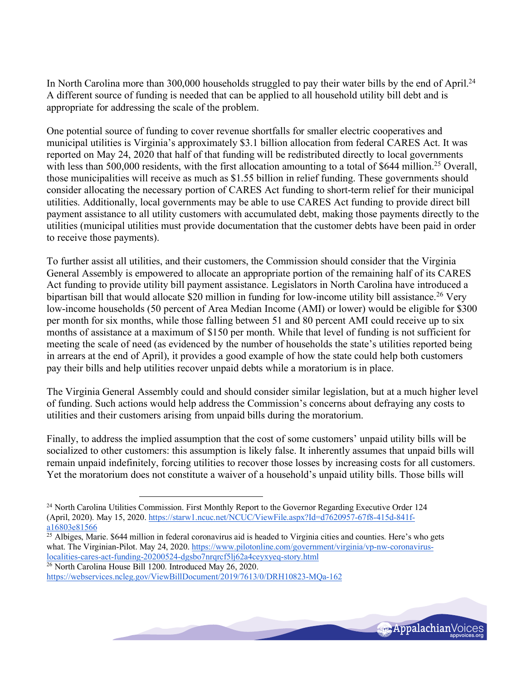In North Carolina more than 300,000 households struggled to pay their water bills by the end of April.<sup>24</sup> A different source of funding is needed that can be applied to all household utility bill debt and is appropriate for addressing the scale of the problem.

One potential source of funding to cover revenue shortfalls for smaller electric cooperatives and municipal utilities is Virginia's approximately \$3.1 billion allocation from federal CARES Act. It was reported on May 24, 2020 that half of that funding will be redistributed directly to local governments with less than 500,000 residents, with the first allocation amounting to a total of \$644 million.<sup>25</sup> Overall, those municipalities will receive as much as \$1.55 billion in relief funding. These governments should consider allocating the necessary portion of CARES Act funding to short-term relief for their municipal utilities. Additionally, local governments may be able to use CARES Act funding to provide direct bill payment assistance to all utility customers with accumulated debt, making those payments directly to the utilities (municipal utilities must provide documentation that the customer debts have been paid in order to receive those payments).

To further assist all utilities, and their customers, the Commission should consider that the Virginia General Assembly is empowered to allocate an appropriate portion of the remaining half of its CARES Act funding to provide utility bill payment assistance. Legislators in North Carolina have introduced a bipartisan bill that would allocate \$20 million in funding for low-income utility bill assistance.<sup>26</sup> Very low-income households (50 percent of Area Median Income (AMI) or lower) would be eligible for \$300 per month for six months, while those falling between 51 and 80 percent AMI could receive up to six months of assistance at a maximum of \$150 per month. While that level of funding is not sufficient for meeting the scale of need (as evidenced by the number of households the state's utilities reported being in arrears at the end of April), it provides a good example of how the state could help both customers pay their bills and help utilities recover unpaid debts while a moratorium is in place.

The Virginia General Assembly could and should consider similar legislation, but at a much higher level of funding. Such actions would help address the Commission's concerns about defraying any costs to utilities and their customers arising from unpaid bills during the moratorium.

Finally, to address the implied assumption that the cost of some customers' unpaid utility bills will be socialized to other customers: this assumption is likely false. It inherently assumes that unpaid bills will remain unpaid indefinitely, forcing utilities to recover those losses by increasing costs for all customers. Yet the moratorium does not constitute a waiver of a household's unpaid utility bills. Those bills will



<sup>&</sup>lt;sup>24</sup> North Carolina Utilities Commission. First Monthly Report to the Governor Regarding Executive Order 124 (April, 2020). May 15, 2020. https://starw1.ncuc.net/NCUC/ViewFile.aspx?Id=d7620957-67f8-415d-841fa16803e81566

 $25$  Albiges, Marie. \$644 million in federal coronavirus aid is headed to Virginia cities and counties. Here's who gets what. The Virginian-Pilot. May 24, 2020. https://www.pilotonline.com/government/virginia/vp-nw-coronaviruslocalities-cares-act-funding-20200524-dgsbo7nrqrcf5lj62a4ceyxyeq-story.html

<sup>26</sup> North Carolina House Bill 1200. Introduced May 26, 2020.

https://webservices.ncleg.gov/ViewBillDocument/2019/7613/0/DRH10823-MQa-162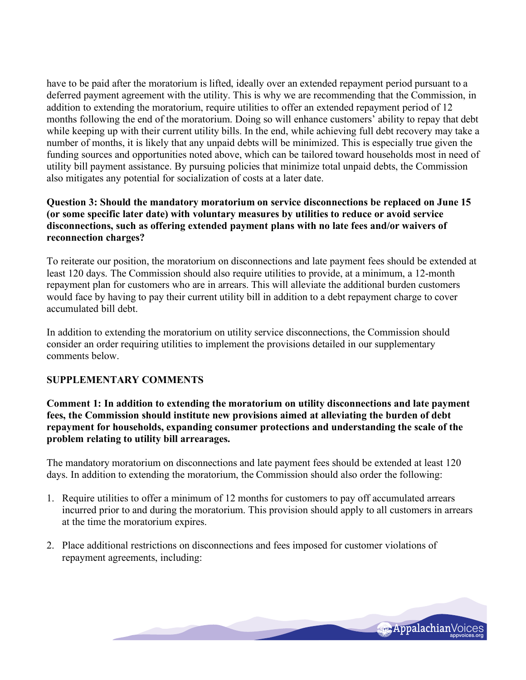have to be paid after the moratorium is lifted, ideally over an extended repayment period pursuant to a deferred payment agreement with the utility. This is why we are recommending that the Commission, in addition to extending the moratorium, require utilities to offer an extended repayment period of 12 months following the end of the moratorium. Doing so will enhance customers' ability to repay that debt while keeping up with their current utility bills. In the end, while achieving full debt recovery may take a number of months, it is likely that any unpaid debts will be minimized. This is especially true given the funding sources and opportunities noted above, which can be tailored toward households most in need of utility bill payment assistance. By pursuing policies that minimize total unpaid debts, the Commission also mitigates any potential for socialization of costs at a later date.

### **Question 3: Should the mandatory moratorium on service disconnections be replaced on June 15 (or some specific later date) with voluntary measures by utilities to reduce or avoid service disconnections, such as offering extended payment plans with no late fees and/or waivers of reconnection charges?**

To reiterate our position, the moratorium on disconnections and late payment fees should be extended at least 120 days. The Commission should also require utilities to provide, at a minimum, a 12-month repayment plan for customers who are in arrears. This will alleviate the additional burden customers would face by having to pay their current utility bill in addition to a debt repayment charge to cover accumulated bill debt.

In addition to extending the moratorium on utility service disconnections, the Commission should consider an order requiring utilities to implement the provisions detailed in our supplementary comments below.

## **SUPPLEMENTARY COMMENTS**

**Comment 1: In addition to extending the moratorium on utility disconnections and late payment fees, the Commission should institute new provisions aimed at alleviating the burden of debt repayment for households, expanding consumer protections and understanding the scale of the problem relating to utility bill arrearages.**

The mandatory moratorium on disconnections and late payment fees should be extended at least 120 days. In addition to extending the moratorium, the Commission should also order the following:

- 1. Require utilities to offer a minimum of 12 months for customers to pay off accumulated arrears incurred prior to and during the moratorium. This provision should apply to all customers in arrears at the time the moratorium expires.
- 2. Place additional restrictions on disconnections and fees imposed for customer violations of repayment agreements, including:

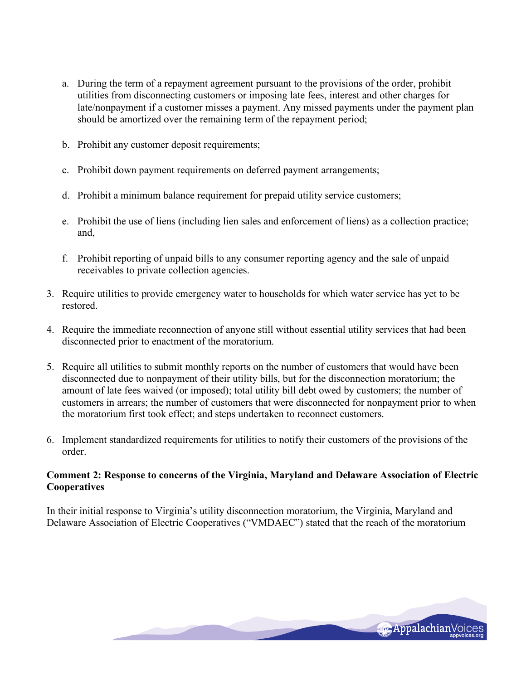- a. During the term of a repayment agreement pursuant to the provisions of the order, prohibit utilities from disconnecting customers or imposing late fees, interest and other charges for late/nonpayment if a customer misses a payment. Any missed payments under the payment plan should be amortized over the remaining term of the repayment period;
- b. Prohibit any customer deposit requirements;
- c. Prohibit down payment requirements on deferred payment arrangements;
- d. Prohibit a minimum balance requirement for prepaid utility service customers;
- e. Prohibit the use of liens (including lien sales and enforcement of liens) as a collection practice; and,
- f. Prohibit reporting of unpaid bills to any consumer reporting agency and the sale of unpaid receivables to private collection agencies.
- 3. Require utilities to provide emergency water to households for which water service has yet to be restored.
- 4. Require the immediate reconnection of anyone still without essential utility services that had been disconnected prior to enactment of the moratorium.
- 5. Require all utilities to submit monthly reports on the number of customers that would have been disconnected due to nonpayment of their utility bills, but for the disconnection moratorium; the amount of late fees waived (or imposed); total utility bill debt owed by customers; the number of customers in arrears; the number of customers that were disconnected for nonpayment prior to when the moratorium first took effect; and steps undertaken to reconnect customers.
- 6. Implement standardized requirements for utilities to notify their customers of the provisions of the order.

## **Comment 2: Response to concerns of the Virginia, Maryland and Delaware Association of Electric Cooperatives**

In their initial response to Virginia's utility disconnection moratorium, the Virginia, Maryland and Delaware Association of Electric Cooperatives ("VMDAEC") stated that the reach of the moratorium

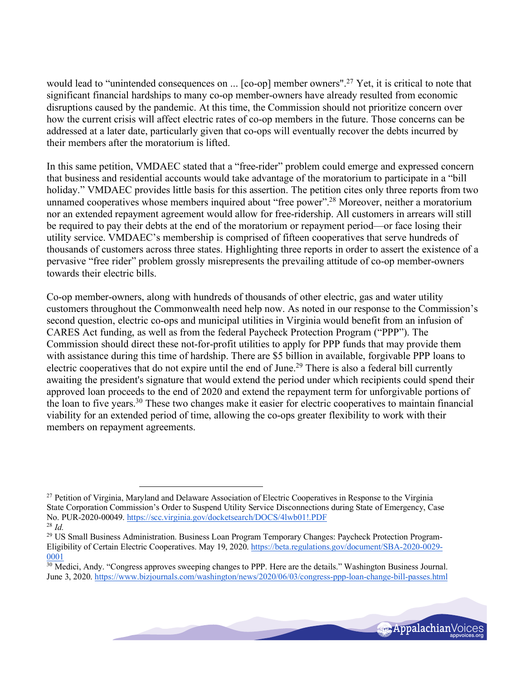would lead to "unintended consequences on ... [co-op] member owners".<sup>27</sup> Yet, it is critical to note that significant financial hardships to many co-op member-owners have already resulted from economic disruptions caused by the pandemic. At this time, the Commission should not prioritize concern over how the current crisis will affect electric rates of co-op members in the future. Those concerns can be addressed at a later date, particularly given that co-ops will eventually recover the debts incurred by their members after the moratorium is lifted.

In this same petition, VMDAEC stated that a "free-rider" problem could emerge and expressed concern that business and residential accounts would take advantage of the moratorium to participate in a "bill holiday." VMDAEC provides little basis for this assertion. The petition cites only three reports from two unnamed cooperatives whose members inquired about "free power".28 Moreover, neither a moratorium nor an extended repayment agreement would allow for free-ridership. All customers in arrears will still be required to pay their debts at the end of the moratorium or repayment period—or face losing their utility service. VMDAEC's membership is comprised of fifteen cooperatives that serve hundreds of thousands of customers across three states. Highlighting three reports in order to assert the existence of a pervasive "free rider" problem grossly misrepresents the prevailing attitude of co-op member-owners towards their electric bills.

Co-op member-owners, along with hundreds of thousands of other electric, gas and water utility customers throughout the Commonwealth need help now. As noted in our response to the Commission's second question, electric co-ops and municipal utilities in Virginia would benefit from an infusion of CARES Act funding, as well as from the federal Paycheck Protection Program ("PPP"). The Commission should direct these not-for-profit utilities to apply for PPP funds that may provide them with assistance during this time of hardship. There are \$5 billion in available, forgivable PPP loans to electric cooperatives that do not expire until the end of June.29 There is also a federal bill currently awaiting the president's signature that would extend the period under which recipients could spend their approved loan proceeds to the end of 2020 and extend the repayment term for unforgivable portions of the loan to five years.30 These two changes make it easier for electric cooperatives to maintain financial viability for an extended period of time, allowing the co-ops greater flexibility to work with their members on repayment agreements.

 $30$  Medici, Andy. "Congress approves sweeping changes to PPP. Here are the details." Washington Business Journal. June 3, 2020. https://www.bizjournals.com/washington/news/2020/06/03/congress-ppp-loan-change-bill-passes.html



<sup>&</sup>lt;sup>27</sup> Petition of Virginia, Maryland and Delaware Association of Electric Cooperatives in Response to the Virginia State Corporation Commission's Order to Suspend Utility Service Disconnections during State of Emergency, Case No. PUR-2020-00049. https://scc.virginia.gov/docketsearch/DOCS/4lwb01!.PDF

<sup>28</sup> *Id.*

<sup>&</sup>lt;sup>29</sup> US Small Business Administration. Business Loan Program Temporary Changes: Paycheck Protection Program-Eligibility of Certain Electric Cooperatives. May 19, 2020. https://beta.regulations.gov/document/SBA-2020-0029- 0001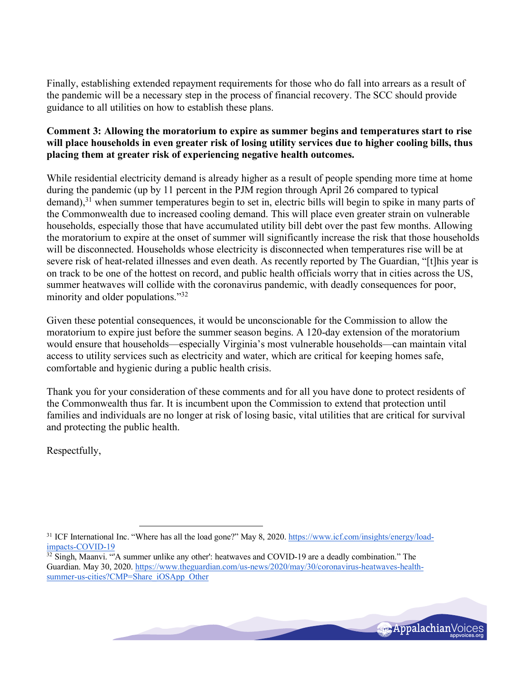Finally, establishing extended repayment requirements for those who do fall into arrears as a result of the pandemic will be a necessary step in the process of financial recovery. The SCC should provide guidance to all utilities on how to establish these plans.

## **Comment 3: Allowing the moratorium to expire as summer begins and temperatures start to rise will place households in even greater risk of losing utility services due to higher cooling bills, thus placing them at greater risk of experiencing negative health outcomes.**

While residential electricity demand is already higher as a result of people spending more time at home during the pandemic (up by 11 percent in the PJM region through April 26 compared to typical demand),<sup>31</sup> when summer temperatures begin to set in, electric bills will begin to spike in many parts of the Commonwealth due to increased cooling demand. This will place even greater strain on vulnerable households, especially those that have accumulated utility bill debt over the past few months. Allowing the moratorium to expire at the onset of summer will significantly increase the risk that those households will be disconnected. Households whose electricity is disconnected when temperatures rise will be at severe risk of heat-related illnesses and even death. As recently reported by The Guardian, "[t]his year is on track to be one of the hottest on record, and public health officials worry that in cities across the US, summer heatwaves will collide with the coronavirus pandemic, with deadly consequences for poor, minority and older populations."32

Given these potential consequences, it would be unconscionable for the Commission to allow the moratorium to expire just before the summer season begins. A 120-day extension of the moratorium would ensure that households—especially Virginia's most vulnerable households—can maintain vital access to utility services such as electricity and water, which are critical for keeping homes safe, comfortable and hygienic during a public health crisis.

Thank you for your consideration of these comments and for all you have done to protect residents of the Commonwealth thus far. It is incumbent upon the Commission to extend that protection until families and individuals are no longer at risk of losing basic, vital utilities that are critical for survival and protecting the public health.

Respectfully,

<sup>&</sup>lt;sup>32</sup> Singh, Maanvi. "A summer unlike any other': heatwaves and COVID-19 are a deadly combination." The Guardian. May 30, 2020. https://www.theguardian.com/us-news/2020/may/30/coronavirus-heatwaves-healthsummer-us-cities?CMP=Share\_iOSApp\_Other



<sup>&</sup>lt;sup>31</sup> ICF International Inc. "Where has all the load gone?" May 8, 2020. https://www.icf.com/insights/energy/loadimpacts-COVID-19